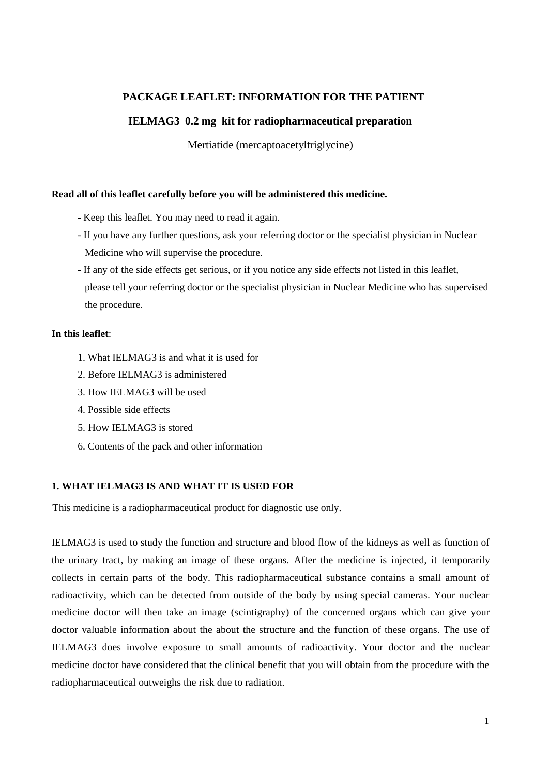# **PACKAGE LEAFLET: INFORMATION FOR THE PATIENT**

# **IELMAG3 0.2 mg kit for radiopharmaceutical preparation**

Mertiatide (mercaptoacetyltriglycine)

## **Read all of this leaflet carefully before you will be administered this medicine.**

- Keep this leaflet. You may need to read it again.
- If you have any further questions, ask your referring doctor or the specialist physician in Nuclear Medicine who will supervise the procedure.
- If any of the side effects get serious, or if you notice any side effects not listed in this leaflet, please tell your referring doctor or the specialist physician in Nuclear Medicine who has supervised the procedure.

#### **In this leaflet**:

- 1. What IELMAG3 is and what it is used for
- 2. Before IELMAG3 is administered
- 3. How IELMAG3 will be used
- 4. Possible side effects
- 5. How IELMAG3 is stored
- 6. Contents of the pack and other information

## **1. WHAT IELMAG3 IS AND WHAT IT IS USED FOR**

This medicine is a radiopharmaceutical product for diagnostic use only.

IELMAG3 is used to study the function and structure and blood flow of the kidneys as well as function of the urinary tract, by making an image of these organs. After the medicine is injected, it temporarily collects in certain parts of the body. This radiopharmaceutical substance contains a small amount of radioactivity, which can be detected from outside of the body by using special cameras. Your nuclear medicine doctor will then take an image (scintigraphy) of the concerned organs which can give your doctor valuable information about the about the structure and the function of these organs. The use of IELMAG3 does involve exposure to small amounts of radioactivity. Your doctor and the nuclear medicine doctor have considered that the clinical benefit that you will obtain from the procedure with the radiopharmaceutical outweighs the risk due to radiation.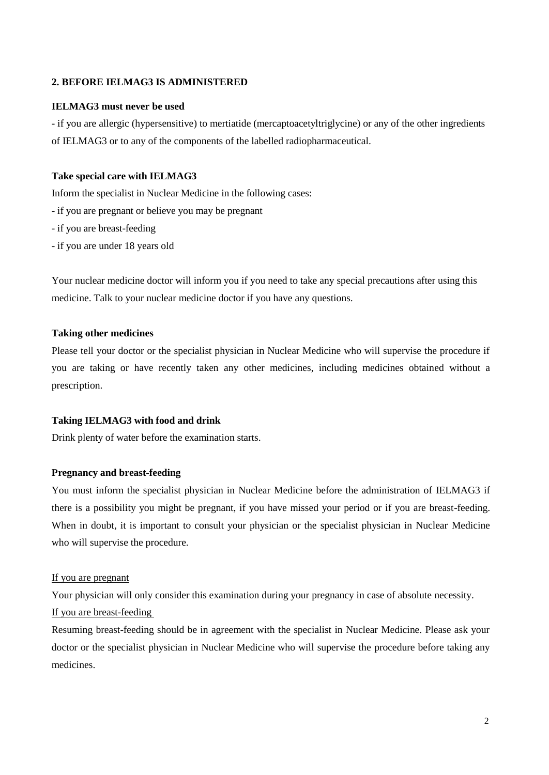# **2. BEFORE IELMAG3 IS ADMINISTERED**

#### **IELMAG3 must never be used**

- if you are allergic (hypersensitive) to mertiatide (mercaptoacetyltriglycine) or any of the other ingredients of IELMAG3 or to any of the components of the labelled radiopharmaceutical.

## **Take special care with IELMAG3**

Inform the specialist in Nuclear Medicine in the following cases:

- if you are pregnant or believe you may be pregnant
- if you are breast-feeding
- if you are under 18 years old

Your nuclear medicine doctor will inform you if you need to take any special precautions after using this medicine. Talk to your nuclear medicine doctor if you have any questions.

#### **Taking other medicines**

Please tell your doctor or the specialist physician in Nuclear Medicine who will supervise the procedure if you are taking or have recently taken any other medicines, including medicines obtained without a prescription.

#### **Taking IELMAG3 with food and drink**

Drink plenty of water before the examination starts.

## **Pregnancy and breast-feeding**

You must inform the specialist physician in Nuclear Medicine before the administration of IELMAG3 if there is a possibility you might be pregnant, if you have missed your period or if you are breast-feeding. When in doubt, it is important to consult your physician or the specialist physician in Nuclear Medicine who will supervise the procedure.

#### If you are pregnant

Your physician will only consider this examination during your pregnancy in case of absolute necessity.

## If you are breast-feeding

Resuming breast-feeding should be in agreement with the specialist in Nuclear Medicine. Please ask your doctor or the specialist physician in Nuclear Medicine who will supervise the procedure before taking any medicines.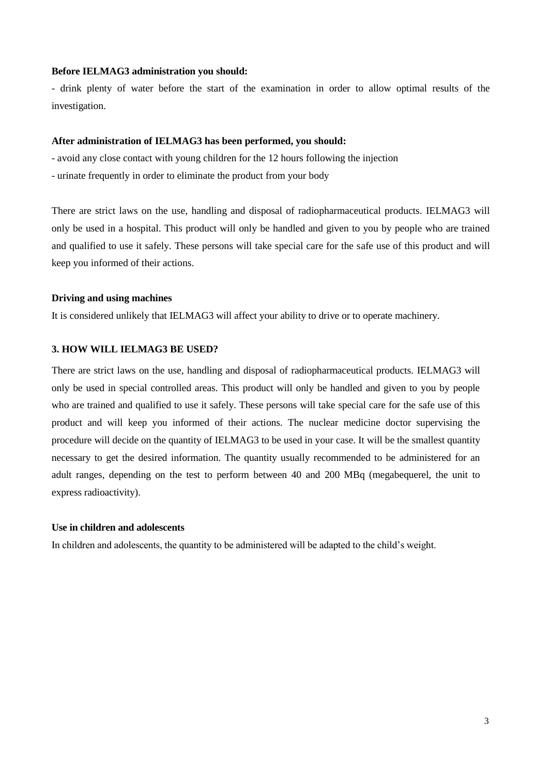#### **Before IELMAG3 administration you should:**

- drink plenty of water before the start of the examination in order to allow optimal results of the investigation.

#### **After administration of IELMAG3 has been performed, you should:**

- avoid any close contact with young children for the 12 hours following the injection
- urinate frequently in order to eliminate the product from your body

There are strict laws on the use, handling and disposal of radiopharmaceutical products. IELMAG3 will only be used in a hospital. This product will only be handled and given to you by people who are trained and qualified to use it safely. These persons will take special care for the safe use of this product and will keep you informed of their actions.

## **Driving and using machines**

It is considered unlikely that IELMAG3 will affect your ability to drive or to operate machinery.

#### **3. HOW WILL IELMAG3 BE USED?**

There are strict laws on the use, handling and disposal of radiopharmaceutical products. IELMAG3 will only be used in special controlled areas. This product will only be handled and given to you by people who are trained and qualified to use it safely. These persons will take special care for the safe use of this product and will keep you informed of their actions. The nuclear medicine doctor supervising the procedure will decide on the quantity of IELMAG3 to be used in your case. It will be the smallest quantity necessary to get the desired information. The quantity usually recommended to be administered for an adult ranges, depending on the test to perform between 40 and 200 MBq (megabequerel, the unit to express radioactivity).

#### **Use in children and adolescents**

In children and adolescents, the quantity to be administered will be adapted to the child's weight.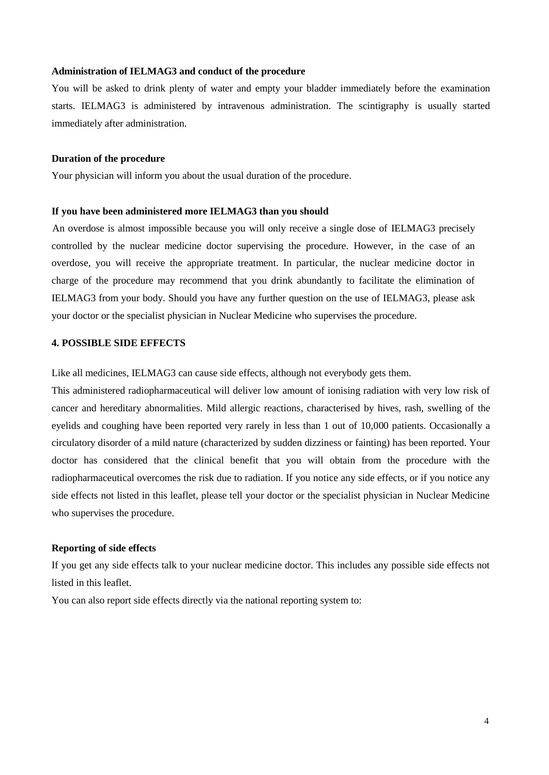#### **Administration of IELMAG3 and conduct of the procedure**

You will be asked to drink plenty of water and empty your bladder immediately before the examination starts. IELMAG3 is administered by intravenous administration. The scintigraphy is usually started immediately after administration.

#### **Duration of the procedure**

Your physician will inform you about the usual duration of the procedure.

#### **If you have been administered more IELMAG3 than you should**

An overdose is almost impossible because you will only receive a single dose of IELMAG3 precisely controlled by the nuclear medicine doctor supervising the procedure. However, in the case of an overdose, you will receive the appropriate treatment. In particular, the nuclear medicine doctor in charge of the procedure may recommend that you drink abundantly to facilitate the elimination of IELMAG3 from your body. Should you have any further question on the use of IELMAG3, please ask your doctor or the specialist physician in Nuclear Medicine who supervises the procedure.

#### **4. POSSIBLE SIDE EFFECTS**

Like all medicines, IELMAG3 can cause side effects, although not everybody gets them.

This administered radiopharmaceutical will deliver low amount of ionising radiation with very low risk of cancer and hereditary abnormalities. Mild allergic reactions, characterised by hives, rash, swelling of the eyelids and coughing have been reported very rarely in less than 1 out of 10,000 patients. Occasionally a circulatory disorder of a mild nature (characterized by sudden dizziness or fainting) has been reported. Your doctor has considered that the clinical benefit that you will obtain from the procedure with the radiopharmaceutical overcomes the risk due to radiation. If you notice any side effects, or if you notice any side effects not listed in this leaflet, please tell your doctor or the specialist physician in Nuclear Medicine who supervises the procedure.

#### **Reporting of side effects**

If you get any side effects talk to your nuclear medicine doctor. This includes any possible side effects not listed in this leaflet.

You can also report side effects directly via the national reporting system to: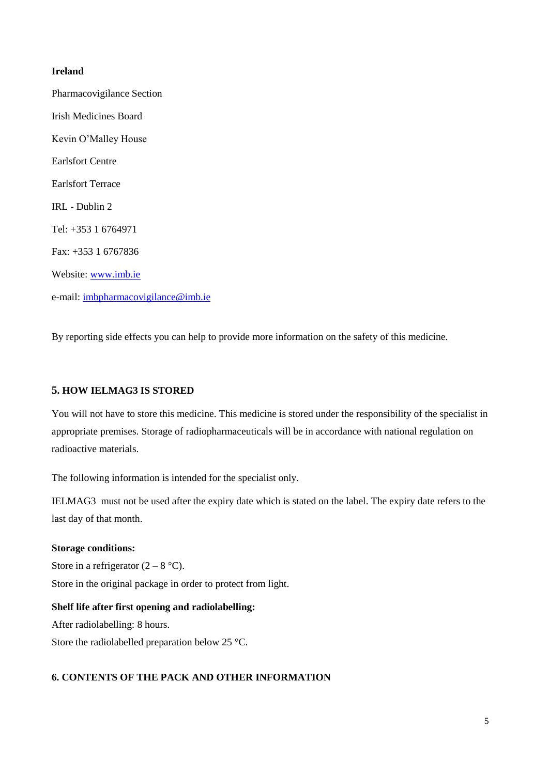# **Ireland**

Pharmacovigilance Section Irish Medicines Board Kevin O'Malley House Earlsfort Centre Earlsfort Terrace IRL - Dublin 2 Tel: +353 1 6764971 Fax: +353 1 6767836 Website: [www.imb.ie](http://www.imb.ie/) e-mail: [imbpharmacovigilance@imb.ie](mailto:imbpharmacovigilance@imb.ie)

By reporting side effects you can help to provide more information on the safety of this medicine.

## **5. HOW IELMAG3 IS STORED**

You will not have to store this medicine. This medicine is stored under the responsibility of the specialist in appropriate premises. Storage of radiopharmaceuticals will be in accordance with national regulation on radioactive materials.

The following information is intended for the specialist only.

IELMAG3 must not be used after the expiry date which is stated on the label. The expiry date refers to the last day of that month.

#### **Storage conditions:**

Store in a refrigerator  $(2 - 8 \degree C)$ .

Store in the original package in order to protect from light.

**Shelf life after first opening and radiolabelling:** After radiolabelling: 8 hours. Store the radiolabelled preparation below 25 °C.

## **6. CONTENTS OF THE PACK AND OTHER INFORMATION**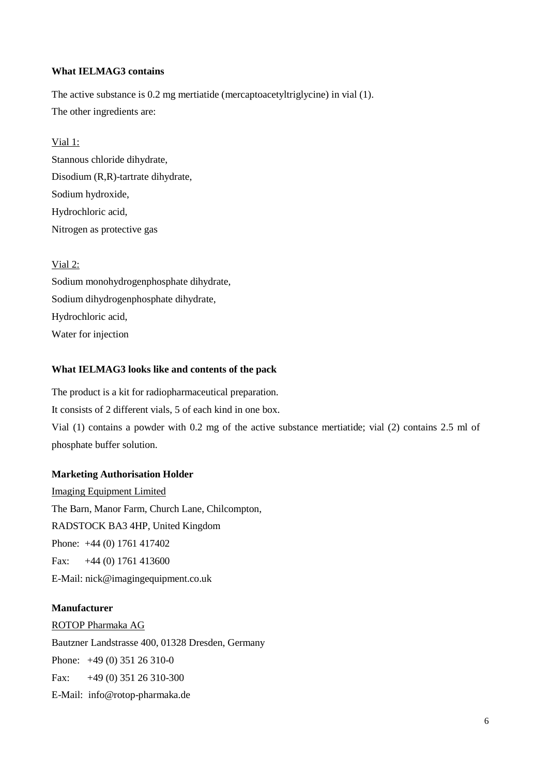## **What IELMAG3 contains**

The active substance is 0.2 mg mertiatide (mercaptoacetyltriglycine) in vial (1). The other ingredients are:

# Vial 1:

Stannous chloride dihydrate, Disodium (R,R)-tartrate dihydrate, Sodium hydroxide, Hydrochloric acid, Nitrogen as protective gas

# Vial 2:

Sodium monohydrogenphosphate dihydrate, Sodium dihydrogenphosphate dihydrate, Hydrochloric acid, Water for injection

# **What IELMAG3 looks like and contents of the pack**

The product is a kit for radiopharmaceutical preparation. It consists of 2 different vials, 5 of each kind in one box. Vial (1) contains a powder with 0.2 mg of the active substance mertiatide; vial (2) contains 2.5 ml of phosphate buffer solution.

## **Marketing Authorisation Holder**

Imaging Equipment Limited The Barn, Manor Farm, Church Lane, Chilcompton, RADSTOCK BA3 4HP, United Kingdom Phone: +44 (0) 1761 417402 Fax:  $+44(0)$  1761 413600 E-Mail: nick@imagingequipment.co.uk

## **Manufacturer**

ROTOP Pharmaka AG Bautzner Landstrasse 400, 01328 Dresden, Germany Phone: +49 (0) 351 26 310-0 Fax: +49 (0) 351 26 310-300 E-Mail: [info@rotop-pharmaka.de](mailto:info@rotop-pharmaka.de)